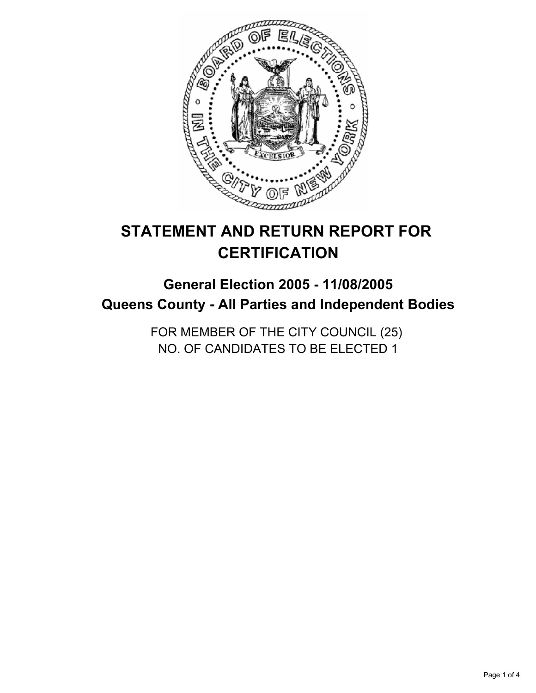

# **STATEMENT AND RETURN REPORT FOR CERTIFICATION**

## **General Election 2005 - 11/08/2005 Queens County - All Parties and Independent Bodies**

FOR MEMBER OF THE CITY COUNCIL (25) NO. OF CANDIDATES TO BE ELECTED 1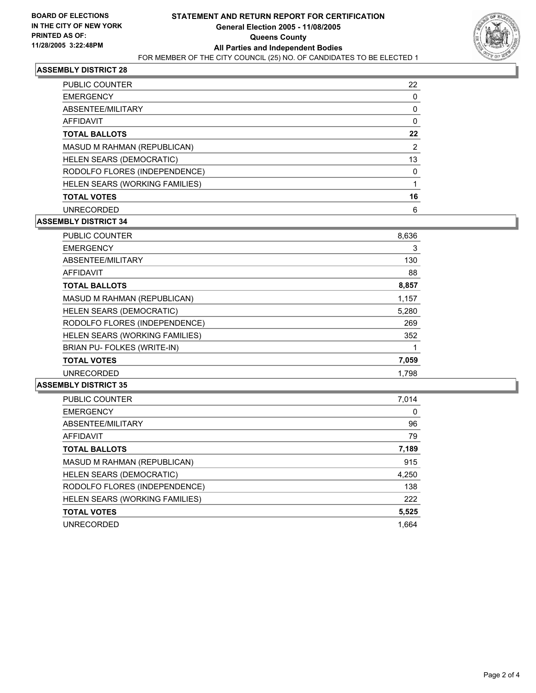

## **ASSEMBLY DISTRICT 28**

| PUBLIC COUNTER                 | 22 |
|--------------------------------|----|
| <b>EMERGENCY</b>               |    |
| ABSENTEE/MILITARY              |    |
| <b>AFFIDAVIT</b>               |    |
| <b>TOTAL BALLOTS</b>           | 22 |
| MASUD M RAHMAN (REPUBLICAN)    | າ  |
| HELEN SEARS (DEMOCRATIC)       | 13 |
| RODOLFO FLORES (INDEPENDENCE)  |    |
| HELEN SEARS (WORKING FAMILIES) |    |
| <b>TOTAL VOTES</b>             | 16 |
| <b>UNRECORDED</b>              | 6  |

## **ASSEMBLY DISTRICT 34**

| <b>PUBLIC COUNTER</b>          | 8,636 |
|--------------------------------|-------|
| <b>EMERGENCY</b>               | 3     |
| ABSENTEE/MILITARY              | 130   |
| <b>AFFIDAVIT</b>               | 88    |
| <b>TOTAL BALLOTS</b>           | 8,857 |
| MASUD M RAHMAN (REPUBLICAN)    | 1,157 |
| HELEN SEARS (DEMOCRATIC)       | 5,280 |
| RODOLFO FLORES (INDEPENDENCE)  | 269   |
| HELEN SEARS (WORKING FAMILIES) | 352   |
| BRIAN PU- FOLKES (WRITE-IN)    |       |
| <b>TOTAL VOTES</b>             | 7,059 |
| <b>UNRECORDED</b>              | 1.798 |

#### **ASSEMBLY DISTRICT 35**

| PUBLIC COUNTER                 | 7,014 |
|--------------------------------|-------|
| <b>EMERGENCY</b>               | 0     |
| ABSENTEE/MILITARY              | 96    |
| AFFIDAVIT                      | 79    |
| <b>TOTAL BALLOTS</b>           | 7,189 |
| MASUD M RAHMAN (REPUBLICAN)    | 915   |
| HELEN SEARS (DEMOCRATIC)       | 4,250 |
| RODOLFO FLORES (INDEPENDENCE)  | 138   |
| HELEN SEARS (WORKING FAMILIES) | 222   |
| <b>TOTAL VOTES</b>             | 5,525 |
| <b>UNRECORDED</b>              | 1.664 |
|                                |       |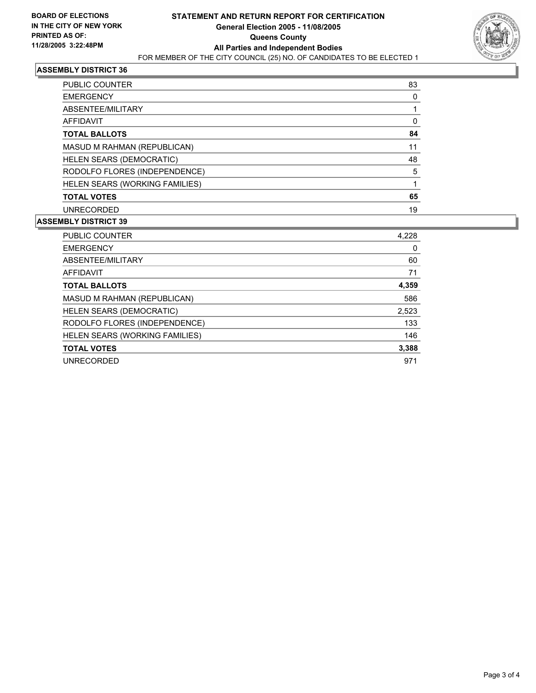

## **ASSEMBLY DISTRICT 36**

| PUBLIC COUNTER                 | 83 |
|--------------------------------|----|
| <b>EMERGENCY</b>               |    |
| ABSENTEE/MILITARY              |    |
| AFFIDAVIT                      |    |
| <b>TOTAL BALLOTS</b>           | 84 |
| MASUD M RAHMAN (REPUBLICAN)    | 11 |
| HELEN SEARS (DEMOCRATIC)       | 48 |
| RODOLFO FLORES (INDEPENDENCE)  | 5  |
| HELEN SEARS (WORKING FAMILIES) |    |
| <b>TOTAL VOTES</b>             | 65 |
| <b>UNRECORDED</b>              | 19 |

#### **ASSEMBLY DISTRICT 39**

| <b>PUBLIC COUNTER</b>          | 4,228 |
|--------------------------------|-------|
| <b>EMERGENCY</b>               | 0     |
| ABSENTEE/MILITARY              | 60    |
| AFFIDAVIT                      | 71    |
| <b>TOTAL BALLOTS</b>           | 4,359 |
| MASUD M RAHMAN (REPUBLICAN)    | 586   |
| HELEN SEARS (DEMOCRATIC)       | 2,523 |
| RODOLFO FLORES (INDEPENDENCE)  | 133   |
| HELEN SEARS (WORKING FAMILIES) | 146   |
| <b>TOTAL VOTES</b>             | 3,388 |
| <b>UNRECORDED</b>              | 971   |